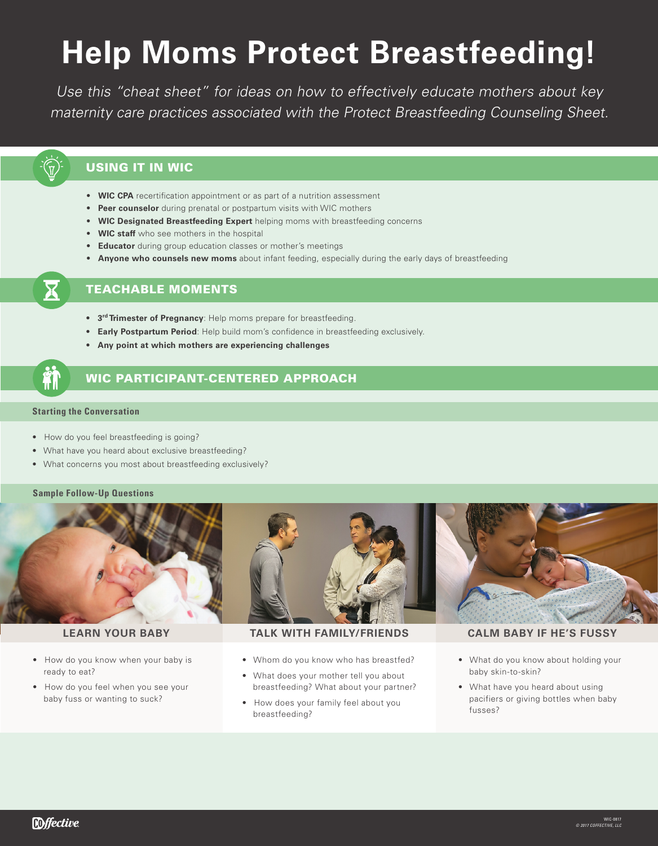# **Help Moms Protect Breastfeeding!**

Use this "cheat sheet" for ideas on how to effectively educate mothers about key maternity care practices associated with the Protect Breastfeeding Counseling Sheet.

# USING IT IN WIC

- **WIC CPA** recertification appointment or as part of a nutrition assessment
- **Peer counselor** during prenatal or postpartum visits with WIC mothers
- **WIC Designated Breastfeeding Expert** helping moms with breastfeeding concerns
- **WIC staff** who see mothers in the hospital
- **Educator** during group education classes or mother's meetings
- **Anyone who counsels new moms** about infant feeding, especially during the early days of breastfeeding

# TEACHABLE MOMENTS

- **3rd Trimester of Pregnancy**: Help moms prepare for breastfeeding.
- **Early Postpartum Period**: Help build mom's confidence in breastfeeding exclusively.
- **Any point at which mothers are experiencing challenges**

## **Starting the Conversation**

- How do you feel breastfeeding is going?
- What have you heard about exclusive breastfeeding?
- What concerns you most about breastfeeding exclusively?

### **Sample Follow-Up Questions**



- How do you know when your baby is ready to eat?
- How do you feel when you see your baby fuss or wanting to suck?

**LEARN YOUR BABY TALK WITH FAMILY/FRIENDS CALM BABY IF HE'S FUSSY**

- Whom do you know who has breastfed?
- What does your mother tell you about breastfeeding? What about your partner?
- How does your family feel about you breastfeeding?

- What do you know about holding your baby skin-to-skin?
- What have you heard about using pacifiers or giving bottles when baby fusses?